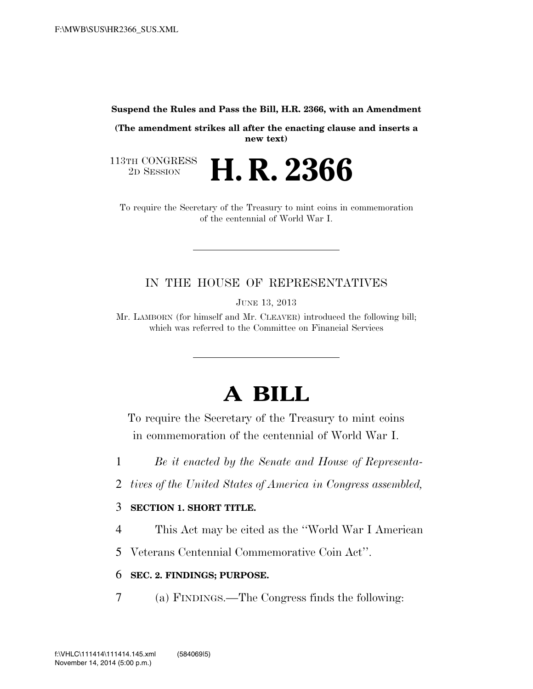**Suspend the Rules and Pass the Bill, H.R. 2366, with an Amendment** 

**(The amendment strikes all after the enacting clause and inserts a new text)** 

2D SESSION **H. R. 2366** 

113TH CONGRESS<br>2D SESSION

To require the Secretary of the Treasury to mint coins in commemoration of the centennial of World War I.

# IN THE HOUSE OF REPRESENTATIVES

JUNE 13, 2013

Mr. LAMBORN (for himself and Mr. CLEAVER) introduced the following bill; which was referred to the Committee on Financial Services

# **A BILL**

To require the Secretary of the Treasury to mint coins in commemoration of the centennial of World War I.

1 *Be it enacted by the Senate and House of Representa-*

2 *tives of the United States of America in Congress assembled,* 

## 3 **SECTION 1. SHORT TITLE.**

4 This Act may be cited as the ''World War I American

5 Veterans Centennial Commemorative Coin Act''.

# 6 **SEC. 2. FINDINGS; PURPOSE.**

7 (a) FINDINGS.—The Congress finds the following: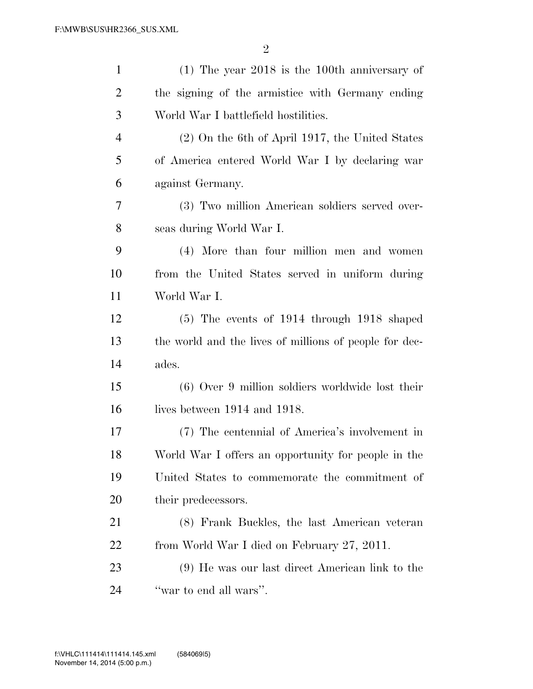| $\mathbf{1}$   | $(1)$ The year 2018 is the 100th anniversary of        |
|----------------|--------------------------------------------------------|
| $\overline{2}$ | the signing of the armistice with Germany ending       |
| 3              | World War I battlefield hostilities.                   |
| $\overline{4}$ | $(2)$ On the 6th of April 1917, the United States      |
| 5              | of America entered World War I by declaring war        |
| 6              | against Germany.                                       |
| 7              | (3) Two million American soldiers served over-         |
| 8              | seas during World War I.                               |
| 9              | (4) More than four million men and women               |
| 10             | from the United States served in uniform during        |
| 11             | World War I.                                           |
| 12             | $(5)$ The events of 1914 through 1918 shaped           |
| 13             | the world and the lives of millions of people for dec- |
| 14             | ades.                                                  |
| 15             | $(6)$ Over 9 million soldiers worldwide lost their     |
| 16             | lives between 1914 and 1918.                           |
| 17             | (7) The centennial of America's involvement in         |
| 18             | World War I offers an opportunity for people in the    |
| 19             | United States to commemorate the commitment of         |
| 20             | their predecessors.                                    |
| 21             | (8) Frank Buckles, the last American veteran           |
| 22             | from World War I died on February 27, 2011.            |
| 23             | (9) He was our last direct American link to the        |
| 24             | "war to end all wars".                                 |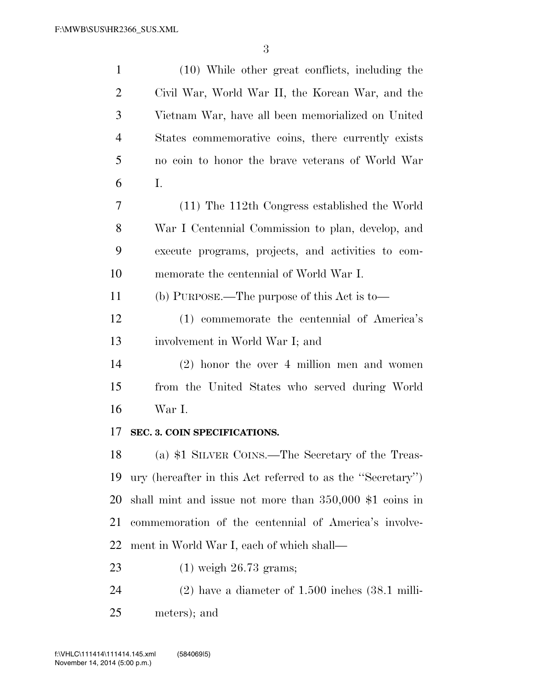| $\mathbf{1}$   | (10) While other great conflicts, including the              |
|----------------|--------------------------------------------------------------|
| 2              | Civil War, World War II, the Korean War, and the             |
| 3              | Vietnam War, have all been memorialized on United            |
| $\overline{4}$ | States commemorative coins, there currently exists           |
| 5              | no coin to honor the brave veterans of World War             |
| 6              | Ι.                                                           |
| 7              | (11) The 112th Congress established the World                |
| 8              | War I Centennial Commission to plan, develop, and            |
| 9              | execute programs, projects, and activities to com-           |
| 10             | memorate the centennial of World War I.                      |
| 11             | (b) PURPOSE.—The purpose of this Act is to—                  |
| 12             | (1) commemorate the centennial of America's                  |
| 13             | involvement in World War I; and                              |
| 14             | $(2)$ honor the over 4 million men and women                 |
| 15             | from the United States who served during World               |
| 16             | War I.                                                       |
| 17             | SEC. 3. COIN SPECIFICATIONS.                                 |
| 18             | (a) \$1 SILVER COINS.—The Secretary of the Treas-            |
| 19             | ury (hereafter in this Act referred to as the "Secretary")   |
| 20             | shall mint and issue not more than $350,000$ \$1 coins in    |
| 21             | commemoration of the centennial of America's involve-        |
| 22             | ment in World War I, each of which shall—                    |
| 23             | $(1)$ weigh 26.73 grams;                                     |
| 24             | $(2)$ have a diameter of 1.500 inches $(38.1 \text{ milli-}$ |
| 25             | meters); and                                                 |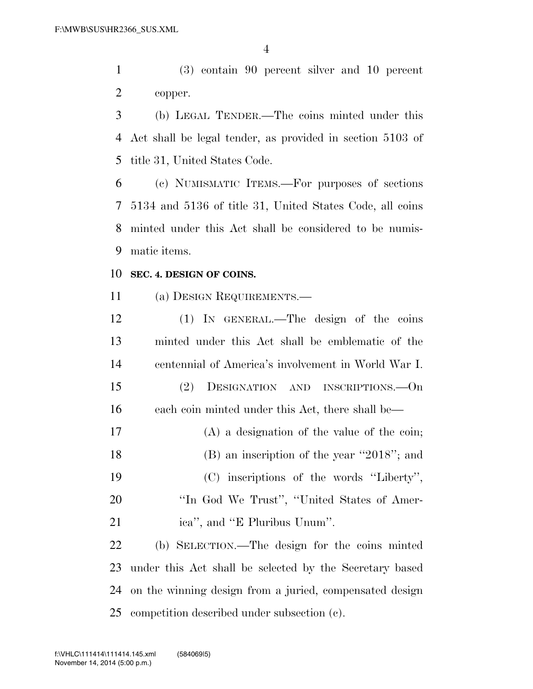(3) contain 90 percent silver and 10 percent copper.

 (b) LEGAL TENDER.—The coins minted under this Act shall be legal tender, as provided in section 5103 of title 31, United States Code.

 (c) NUMISMATIC ITEMS.—For purposes of sections 5134 and 5136 of title 31, United States Code, all coins minted under this Act shall be considered to be numis-matic items.

#### **SEC. 4. DESIGN OF COINS.**

(a) DESIGN REQUIREMENTS.—

 (1) IN GENERAL.—The design of the coins minted under this Act shall be emblematic of the centennial of America's involvement in World War I. (2) DESIGNATION AND INSCRIPTIONS.—On each coin minted under this Act, there shall be— (A) a designation of the value of the coin; 18 (B) an inscription of the year "2018"; and (C) inscriptions of the words ''Liberty'', 20 "In God We Trust", "United States of Amer- ica'', and ''E Pluribus Unum''. (b) SELECTION.—The design for the coins minted under this Act shall be selected by the Secretary based on the winning design from a juried, compensated design

competition described under subsection (c).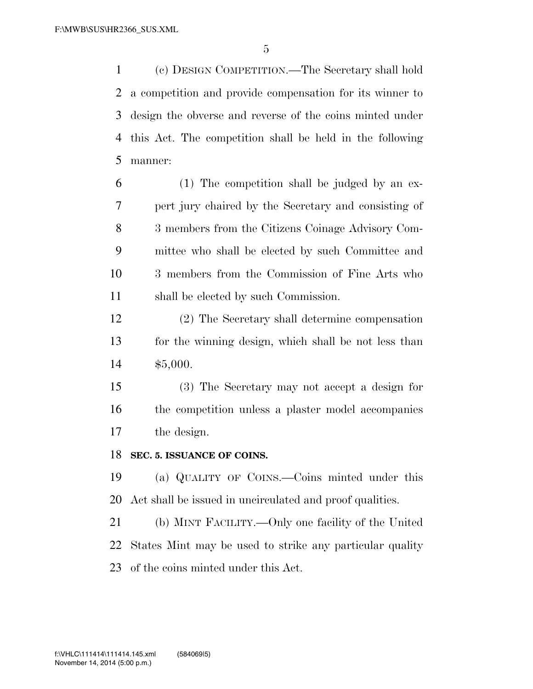(c) DESIGN COMPETITION.—The Secretary shall hold a competition and provide compensation for its winner to design the obverse and reverse of the coins minted under this Act. The competition shall be held in the following manner:

- (1) The competition shall be judged by an ex- pert jury chaired by the Secretary and consisting of 3 members from the Citizens Coinage Advisory Com- mittee who shall be elected by such Committee and 3 members from the Commission of Fine Arts who shall be elected by such Commission.
- (2) The Secretary shall determine compensation for the winning design, which shall be not less than \$5,000.
- (3) The Secretary may not accept a design for the competition unless a plaster model accompanies the design.

### **SEC. 5. ISSUANCE OF COINS.**

 (a) QUALITY OF COINS.—Coins minted under this Act shall be issued in uncirculated and proof qualities.

 (b) MINT FACILITY.—Only one facility of the United States Mint may be used to strike any particular quality of the coins minted under this Act.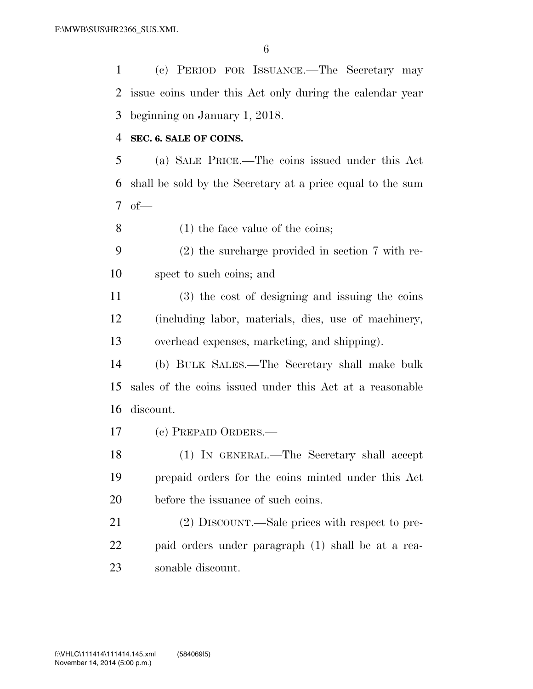(c) PERIOD FOR ISSUANCE.—The Secretary may issue coins under this Act only during the calendar year beginning on January 1, 2018.

#### **SEC. 6. SALE OF COINS.**

 (a) SALE PRICE.—The coins issued under this Act shall be sold by the Secretary at a price equal to the sum of—

(1) the face value of the coins;

 (2) the surcharge provided in section 7 with re-spect to such coins; and

 (3) the cost of designing and issuing the coins (including labor, materials, dies, use of machinery, overhead expenses, marketing, and shipping).

 (b) BULK SALES.—The Secretary shall make bulk sales of the coins issued under this Act at a reasonable discount.

(c) PREPAID ORDERS.—

 (1) IN GENERAL.—The Secretary shall accept prepaid orders for the coins minted under this Act before the issuance of such coins.

 (2) DISCOUNT.—Sale prices with respect to pre- paid orders under paragraph (1) shall be at a rea-sonable discount.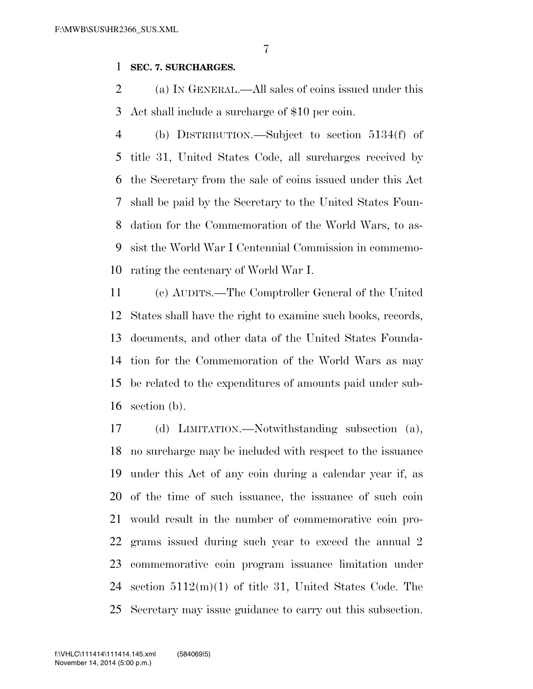# **SEC. 7. SURCHARGES.**

 (a) IN GENERAL.—All sales of coins issued under this Act shall include a surcharge of \$10 per coin.

 (b) DISTRIBUTION.—Subject to section 5134(f) of title 31, United States Code, all surcharges received by the Secretary from the sale of coins issued under this Act shall be paid by the Secretary to the United States Foun- dation for the Commemoration of the World Wars, to as- sist the World War I Centennial Commission in commemo-rating the centenary of World War I.

 (c) AUDITS.—The Comptroller General of the United States shall have the right to examine such books, records, documents, and other data of the United States Founda- tion for the Commemoration of the World Wars as may be related to the expenditures of amounts paid under sub-section (b).

 (d) LIMITATION.—Notwithstanding subsection (a), no surcharge may be included with respect to the issuance under this Act of any coin during a calendar year if, as of the time of such issuance, the issuance of such coin would result in the number of commemorative coin pro- grams issued during such year to exceed the annual 2 commemorative coin program issuance limitation under section 5112(m)(1) of title 31, United States Code. The Secretary may issue guidance to carry out this subsection.